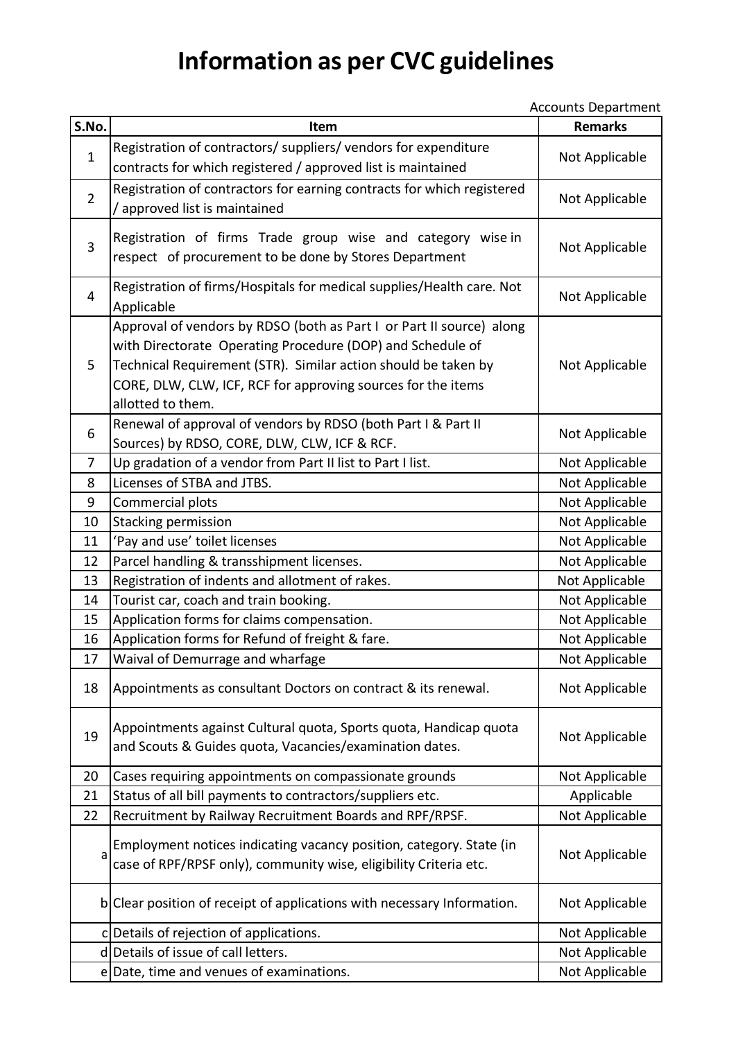## **Information as per CVC guidelines**

Accounts Department

| S.No.          | Item                                                                                                                                                                                                                                                                                      | <b>Remarks</b> |
|----------------|-------------------------------------------------------------------------------------------------------------------------------------------------------------------------------------------------------------------------------------------------------------------------------------------|----------------|
| $\mathbf{1}$   | Registration of contractors/ suppliers/ vendors for expenditure<br>contracts for which registered / approved list is maintained                                                                                                                                                           | Not Applicable |
| $\overline{2}$ | Registration of contractors for earning contracts for which registered<br>approved list is maintained                                                                                                                                                                                     | Not Applicable |
| 3              | Registration of firms Trade group wise and category wise in<br>respect of procurement to be done by Stores Department                                                                                                                                                                     | Not Applicable |
| 4              | Registration of firms/Hospitals for medical supplies/Health care. Not<br>Applicable                                                                                                                                                                                                       | Not Applicable |
| 5              | Approval of vendors by RDSO (both as Part I or Part II source) along<br>with Directorate Operating Procedure (DOP) and Schedule of<br>Technical Requirement (STR). Similar action should be taken by<br>CORE, DLW, CLW, ICF, RCF for approving sources for the items<br>allotted to them. | Not Applicable |
| 6              | Renewal of approval of vendors by RDSO (both Part I & Part II<br>Sources) by RDSO, CORE, DLW, CLW, ICF & RCF.                                                                                                                                                                             | Not Applicable |
| $\overline{7}$ | Up gradation of a vendor from Part II list to Part I list.                                                                                                                                                                                                                                | Not Applicable |
| 8              | Licenses of STBA and JTBS.                                                                                                                                                                                                                                                                | Not Applicable |
| 9              | Commercial plots                                                                                                                                                                                                                                                                          | Not Applicable |
| 10             | Stacking permission                                                                                                                                                                                                                                                                       | Not Applicable |
| 11             | 'Pay and use' toilet licenses                                                                                                                                                                                                                                                             | Not Applicable |
| 12             | Parcel handling & transshipment licenses.                                                                                                                                                                                                                                                 | Not Applicable |
| 13             | Registration of indents and allotment of rakes.                                                                                                                                                                                                                                           | Not Applicable |
| 14             | Tourist car, coach and train booking.                                                                                                                                                                                                                                                     | Not Applicable |
| 15             | Application forms for claims compensation.                                                                                                                                                                                                                                                | Not Applicable |
| 16             | Application forms for Refund of freight & fare.                                                                                                                                                                                                                                           | Not Applicable |
| 17             | Waival of Demurrage and wharfage                                                                                                                                                                                                                                                          | Not Applicable |
| 18             | Appointments as consultant Doctors on contract & its renewal.                                                                                                                                                                                                                             | Not Applicable |
| 19             | Appointments against Cultural quota, Sports quota, Handicap quota<br>and Scouts & Guides quota, Vacancies/examination dates.                                                                                                                                                              | Not Applicable |
| 20             | Cases requiring appointments on compassionate grounds                                                                                                                                                                                                                                     | Not Applicable |
| 21             | Status of all bill payments to contractors/suppliers etc.                                                                                                                                                                                                                                 | Applicable     |
| 22             | Recruitment by Railway Recruitment Boards and RPF/RPSF.                                                                                                                                                                                                                                   | Not Applicable |
| a              | Employment notices indicating vacancy position, category. State (in<br>case of RPF/RPSF only), community wise, eligibility Criteria etc.                                                                                                                                                  | Not Applicable |
|                | b Clear position of receipt of applications with necessary Information.                                                                                                                                                                                                                   | Not Applicable |
|                | c Details of rejection of applications.                                                                                                                                                                                                                                                   | Not Applicable |
|                | d Details of issue of call letters.                                                                                                                                                                                                                                                       | Not Applicable |
|                | e Date, time and venues of examinations.                                                                                                                                                                                                                                                  | Not Applicable |